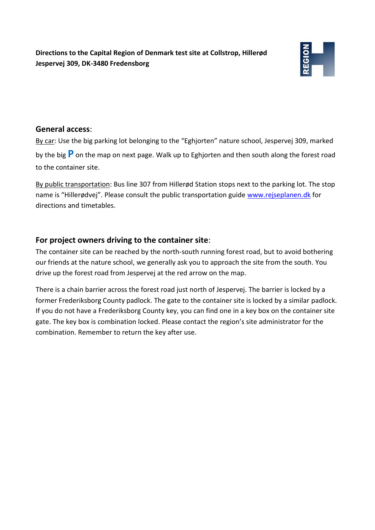**Directions to the Capital Region of Denmark test site at Collstrop, Hillerød Jespervej 309, DK-3480 Fredensborg**



## **General access**:

By car: Use the big parking lot belonging to the "Eghjorten" nature school, Jespervej 309, marked by the big **P** on the map on next page. Walk up to Eghjorten and then south along the forest road to the container site.

By public transportation: Bus line 307 from Hillerød Station stops next to the parking lot. The stop name is "Hillerødvej". Please consult the public transportation guide [www.rejseplanen.dk](http://www.rejseplanen.dk/) for directions and timetables.

## **For project owners driving to the container site**:

The container site can be reached by the north-south running forest road, but to avoid bothering our friends at the nature school, we generally ask you to approach the site from the south. You drive up the forest road from Jespervej at the red arrow on the map.

There is a chain barrier across the forest road just north of Jespervej. The barrier is locked by a former Frederiksborg County padlock. The gate to the container site is locked by a similar padlock. If you do not have a Frederiksborg County key, you can find one in a key box on the container site gate. The key box is combination locked. Please contact the region's site administrator for the combination. Remember to return the key after use.